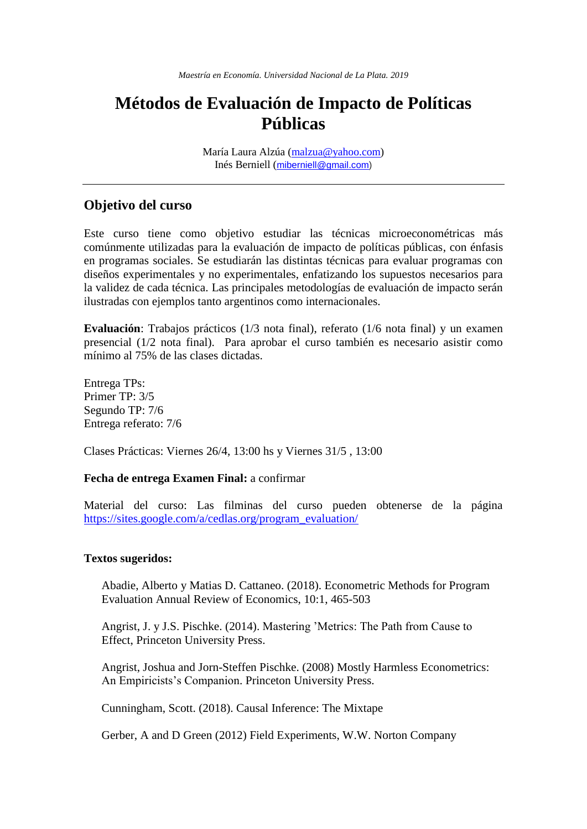# **Métodos de Evaluación de Impacto de Políticas Públicas**

María Laura Alzúa [\(malzua@yahoo.com\)](mailto:malzua@yahoo.com) Inés Berniell ([miberniell@gmail.com\)](mailto:miberniell@gmail.com)

# **Objetivo del curso**

Este curso tiene como objetivo estudiar las técnicas microeconométricas más comúnmente utilizadas para la evaluación de impacto de políticas públicas, con énfasis en programas sociales. Se estudiarán las distintas técnicas para evaluar programas con diseños experimentales y no experimentales, enfatizando los supuestos necesarios para la validez de cada técnica. Las principales metodologías de evaluación de impacto serán ilustradas con ejemplos tanto argentinos como internacionales.

**Evaluación**: Trabajos prácticos (1/3 nota final), referato (1/6 nota final) y un examen presencial (1/2 nota final). Para aprobar el curso también es necesario asistir como mínimo al 75% de las clases dictadas.

Entrega TPs: Primer TP: 3/5 Segundo TP: 7/6 Entrega referato: 7/6

Clases Prácticas: Viernes 26/4, 13:00 hs y Viernes 31/5 , 13:00

#### **Fecha de entrega Examen Final:** a confirmar

Material del curso: Las filminas del curso pueden obtenerse de la página [https://sites.google.com/a/cedlas.org/program\\_evaluation/](https://sites.google.com/a/cedlas.org/program_evaluation/)

#### **Textos sugeridos:**

Abadie, Alberto y Matias D. Cattaneo. (2018). Econometric Methods for Program Evaluation Annual Review of Economics, 10:1, 465-503

Angrist, J. y J.S. Pischke. (2014). Mastering 'Metrics: The Path from Cause to Effect, Princeton University Press.

Angrist, Joshua and Jorn-Steffen Pischke. (2008) Mostly Harmless Econometrics: An Empiricists's Companion. Princeton University Press.

Cunningham, Scott. (2018). Causal Inference: The Mixtape

Gerber, A and D Green (2012) Field Experiments, W.W. Norton Company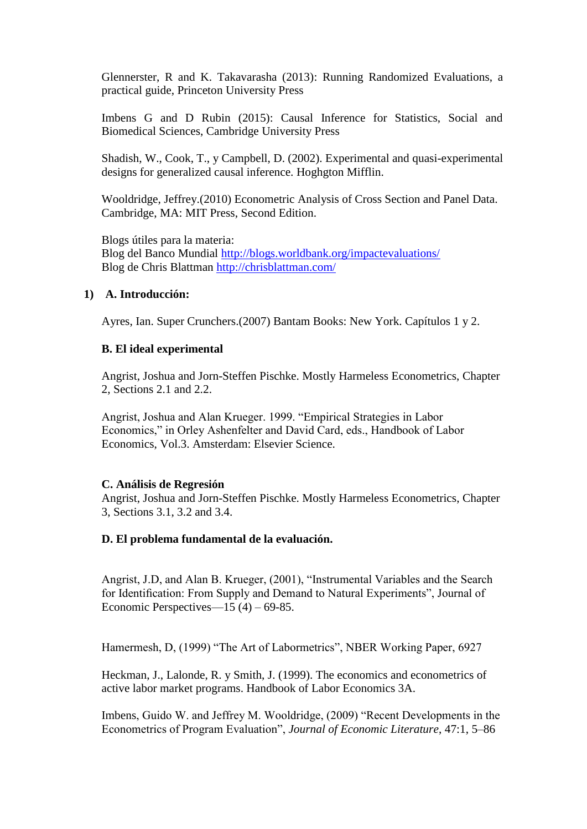Glennerster, R and K. Takavarasha (2013): Running Randomized Evaluations, a practical guide, Princeton University Press

Imbens G and D Rubin (2015): Causal Inference for Statistics, Social and Biomedical Sciences, Cambridge University Press

Shadish, W., Cook, T., y Campbell, D. (2002). Experimental and quasi-experimental designs for generalized causal inference. Hoghgton Mifflin.

Wooldridge, Jeffrey.(2010) Econometric Analysis of Cross Section and Panel Data. Cambridge, MA: MIT Press, Second Edition.

Blogs útiles para la materia: Blog del Banco Mundial<http://blogs.worldbank.org/impactevaluations/> Blog de Chris Blattman<http://chrisblattman.com/>

# **1) A. Introducción:**

Ayres, Ian. Super Crunchers.(2007) Bantam Books: New York. Capítulos 1 y 2.

# **B. El ideal experimental**

Angrist, Joshua and Jorn-Steffen Pischke. Mostly Harmeless Econometrics, Chapter 2, Sections 2.1 and 2.2.

Angrist, Joshua and Alan Krueger. 1999. "Empirical Strategies in Labor Economics," in Orley Ashenfelter and David Card, eds., Handbook of Labor Economics, Vol.3. Amsterdam: Elsevier Science.

# **C. Análisis de Regresión**

Angrist, Joshua and Jorn-Steffen Pischke. Mostly Harmeless Econometrics, Chapter 3, Sections 3.1, 3.2 and 3.4.

# **D. El problema fundamental de la evaluación.**

Angrist, J.D, and Alan B. Krueger, (2001), "Instrumental Variables and the Search for Identification: From Supply and Demand to Natural Experiments", Journal of Economic Perspectives—15 (4) – 69-85.

Hamermesh, D, (1999) "The Art of Labormetrics", NBER Working Paper, 6927

Heckman, J., Lalonde, R. y Smith, J. (1999). The economics and econometrics of active labor market programs. Handbook of Labor Economics 3A.

Imbens, Guido W. and Jeffrey M. Wooldridge, (2009) "Recent Developments in the Econometrics of Program Evaluation", *Journal of Economic Literature*, 47:1, 5–86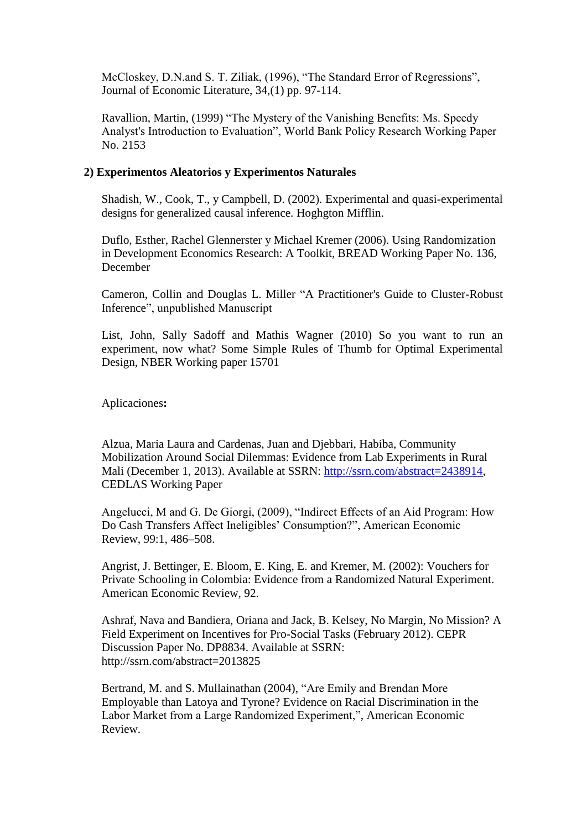McCloskey, D.N.and S. T. Ziliak, (1996), "The Standard Error of Regressions", Journal of Economic Literature, 34,(1) pp. 97-114.

Ravallion, Martin, (1999) "The Mystery of the Vanishing Benefits: Ms. Speedy Analyst's Introduction to Evaluation", World Bank Policy Research Working Paper No. 2153

# **2) Experimentos Aleatorios y Experimentos Naturales**

Shadish, W., Cook, T., y Campbell, D. (2002). Experimental and quasi-experimental designs for generalized causal inference. Hoghgton Mifflin.

Duflo, Esther, Rachel Glennerster y Michael Kremer (2006). Using Randomization in Development Economics Research: A Toolkit, BREAD Working Paper No. 136, December

Cameron, Collin and Douglas L. Miller "A Practitioner's Guide to Cluster-Robust Inference", unpublished Manuscript

List, John, Sally Sadoff and Mathis Wagner (2010) So you want to run an experiment, now what? Some Simple Rules of Thumb for Optimal Experimental Design, NBER Working paper 15701

Aplicaciones**:** 

Alzua, Maria Laura and Cardenas, Juan and Djebbari, Habiba, Community Mobilization Around Social Dilemmas: Evidence from Lab Experiments in Rural Mali (December 1, 2013). Available at SSRN: [http://ssrn.com/abstract=2438914,](http://ssrn.com/abstract=2438914) CEDLAS Working Paper

Angelucci, M and G. De Giorgi, (2009), "Indirect Effects of an Aid Program: How Do Cash Transfers Affect Ineligibles' Consumption?", American Economic Review, 99:1, 486–508.

Angrist, J. Bettinger, E. Bloom, E. King, E. and Kremer, M. (2002): Vouchers for Private Schooling in Colombia: Evidence from a Randomized Natural Experiment. American Economic Review, 92.

Ashraf, Nava and Bandiera, Oriana and Jack, B. Kelsey, No Margin, No Mission? A Field Experiment on Incentives for Pro-Social Tasks (February 2012). CEPR Discussion Paper No. DP8834. Available at SSRN: <http://ssrn.com/abstract=2013825>

Bertrand, M. and S. Mullainathan (2004), "Are Emily and Brendan More Employable than Latoya and Tyrone? Evidence on Racial Discrimination in the Labor Market from a Large Randomized Experiment,", American Economic Review.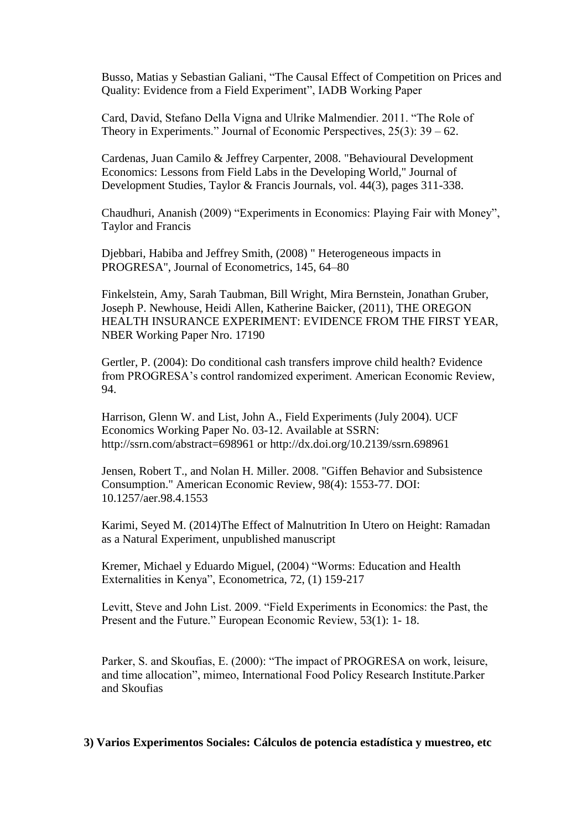Busso, Matias y Sebastian Galiani, "The Causal Effect of Competition on Prices and Quality: Evidence from a Field Experiment", IADB Working Paper

Card, David, Stefano Della Vigna and Ulrike Malmendier. 2011. "The Role of Theory in Experiments." Journal of Economic Perspectives,  $25(3)$ : 39 – 62.

Cardenas, Juan Camilo & Jeffrey Carpenter, 2008. "Behavioural Development Economics: Lessons from Field Labs in the Developing World," Journal of Development Studies, Taylor & Francis Journals, vol. 44(3), pages 311-338.

Chaudhuri, Ananish (2009) "Experiments in Economics: Playing Fair with Money", Taylor and Francis

Djebbari, Habiba and Jeffrey Smith, (2008) " Heterogeneous impacts in PROGRESA", Journal of Econometrics, 145, 64–80

Finkelstein, Amy, Sarah Taubman, Bill Wright, Mira Bernstein, Jonathan Gruber, Joseph P. Newhouse, Heidi Allen, Katherine Baicker, (2011), THE OREGON HEALTH INSURANCE EXPERIMENT: EVIDENCE FROM THE FIRST YEAR, NBER Working Paper Nro. 17190

Gertler, P. (2004): Do conditional cash transfers improve child health? Evidence from PROGRESA's control randomized experiment. American Economic Review, 94.

Harrison, Glenn W. and List, John A., Field Experiments (July 2004). UCF Economics Working Paper No. 03-12. Available at SSRN: http://ssrn.com/abstract=698961 or http://dx.doi.org/10.2139/ssrn.698961

Jensen, Robert T., and Nolan H. Miller. 2008. "Giffen Behavior and Subsistence Consumption." American Economic Review, 98(4): 1553-77. DOI: 10.1257/aer.98.4.1553

Karimi, Seyed M. (2014)The Effect of Malnutrition In Utero on Height: Ramadan as a Natural Experiment, unpublished manuscript

Kremer, Michael y Eduardo Miguel, (2004) "Worms: Education and Health Externalities in Kenya", Econometrica, 72, (1) 159-217

Levitt, Steve and John List. 2009. "Field Experiments in Economics: the Past, the Present and the Future." European Economic Review, 53(1): 1- 18.

Parker, S. and Skoufias, E. (2000): "The impact of PROGRESA on work, leisure, and time allocation", mimeo, International Food Policy Research Institute.Parker and Skoufias

**3) Varios Experimentos Sociales: Cálculos de potencia estadística y muestreo, etc**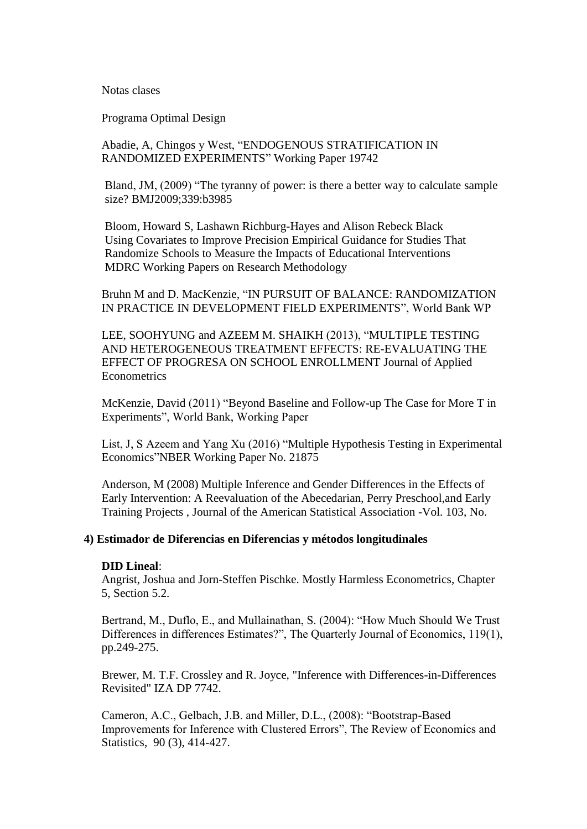Notas clases

Programa Optimal Design

Abadie, A, Chingos y West, "ENDOGENOUS STRATIFICATION IN RANDOMIZED EXPERIMENTS" Working Paper 19742

Bland, JM, (2009) "The tyranny of power: is there a better way to calculate sample size? BMJ2009;339:b3985

Bloom, Howard S, Lashawn Richburg-Hayes and Alison Rebeck Black Using Covariates to Improve Precision Empirical Guidance for Studies That Randomize Schools to Measure the Impacts of Educational Interventions MDRC Working Papers on Research Methodology

Bruhn M and D. MacKenzie, "IN PURSUIT OF BALANCE: RANDOMIZATION IN PRACTICE IN DEVELOPMENT FIELD EXPERIMENTS", World Bank WP

LEE, SOOHYUNG and AZEEM M. SHAIKH (2013), "MULTIPLE TESTING AND HETEROGENEOUS TREATMENT EFFECTS: RE-EVALUATING THE EFFECT OF PROGRESA ON SCHOOL ENROLLMENT Journal of Applied **Econometrics** 

McKenzie, David (2011) "Beyond Baseline and Follow-up The Case for More T in Experiments", World Bank, Working Paper

List, J, S Azeem and Yang Xu (2016) "Multiple Hypothesis Testing in Experimental Economics"NBER Working Paper No. 21875

Anderson, M (2008) Multiple Inference and Gender Differences in the Effects of Early Intervention: A Reevaluation of the Abecedarian, Perry Preschool,and Early Training Projects , Journal of the American Statistical Association -Vol. 103, No.

#### **4) Estimador de Diferencias en Diferencias y métodos longitudinales**

#### **DID Lineal**:

Angrist, Joshua and Jorn-Steffen Pischke. Mostly Harmless Econometrics, Chapter 5, Section 5.2.

Bertrand, M., Duflo, E., and Mullainathan, S. (2004): "How Much Should We Trust Differences in differences Estimates?", The Quarterly Journal of Economics, 119(1), pp.249-275.

Brewer, M. T.F. Crossley and R. Joyce, "Inference with Differences-in-Differences Revisited" IZA DP 7742.

Cameron, A.C., Gelbach, J.B. and Miller, D.L., (2008): "Bootstrap-Based Improvements for Inference with Clustered Errors", The Review of Economics and Statistics, 90 (3), 414-427.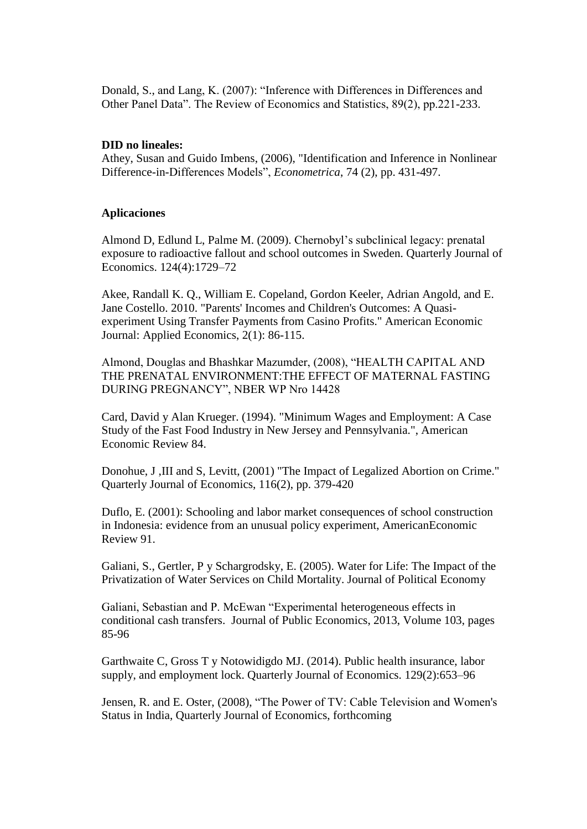Donald, S., and Lang, K. (2007): "Inference with Differences in Differences and Other Panel Data". The Review of Economics and Statistics, 89(2), pp.221-233.

#### **DID no lineales:**

Athey, Susan and Guido Imbens, (2006), "Identification and Inference in Nonlinear Difference-in-Differences Models", *Econometrica*, 74 (2), pp. 431-497.

#### **Aplicaciones**

Almond D, Edlund L, Palme M. (2009). Chernobyl's subclinical legacy: prenatal exposure to radioactive fallout and school outcomes in Sweden. Quarterly Journal of Economics. 124(4):1729–72

Akee, Randall K. Q., William E. Copeland, Gordon Keeler, Adrian Angold, and E. Jane Costello. 2010. "Parents' Incomes and Children's Outcomes: A Quasiexperiment Using Transfer Payments from Casino Profits." American Economic Journal: Applied Economics, 2(1): 86-115.

Almond, Douglas and Bhashkar Mazumder, (2008), "HEALTH CAPITAL AND THE PRENATAL ENVIRONMENT:THE EFFECT OF MATERNAL FASTING DURING PREGNANCY", NBER WP Nro 14428

Card, David y Alan Krueger. (1994). "Minimum Wages and Employment: A Case Study of the Fast Food Industry in New Jersey and Pennsylvania.", American Economic Review 84.

Donohue, J ,III and S, Levitt, (2001) "The Impact of Legalized Abortion on Crime." Quarterly Journal of Economics, 116(2), pp. 379-420

Duflo, E. (2001): Schooling and labor market consequences of school construction in Indonesia: evidence from an unusual policy experiment, AmericanEconomic Review 91.

Galiani, S., Gertler, P y Schargrodsky, E. (2005). Water for Life: The Impact of the Privatization of Water Services on Child Mortality. Journal of Political Economy

Galiani, Sebastian and P. McEwan "Experimental heterogeneous effects in conditional cash transfers. Journal of Public Economics, 2013, Volume 103, pages 85-96

Garthwaite C, Gross T y Notowidigdo MJ. (2014). Public health insurance, labor supply, and employment lock. Quarterly Journal of Economics. 129(2):653–96

Jensen, R. and E. Oster, (2008), "The Power of TV: Cable Television and Women's Status in India, Quarterly Journal of Economics, forthcoming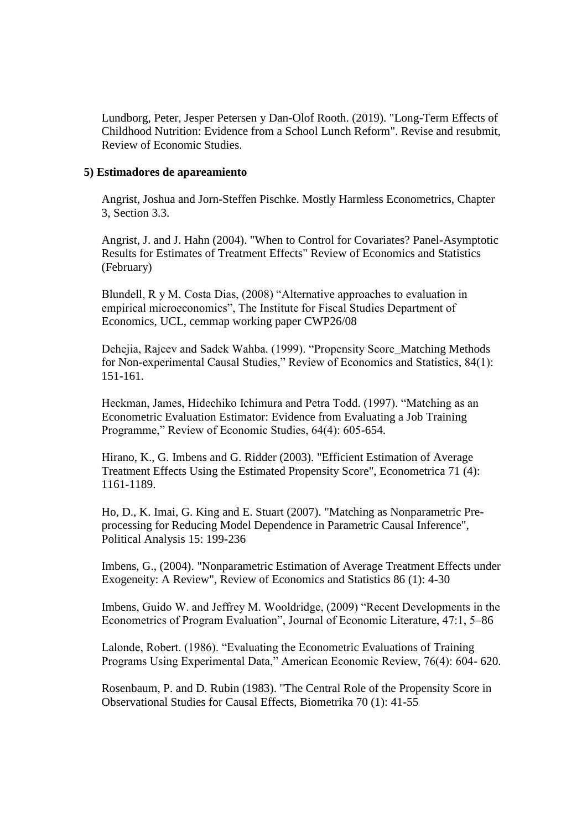Lundborg, Peter, Jesper Petersen y Dan-Olof Rooth. (2019). "Long-Term Effects of Childhood Nutrition: Evidence from a School Lunch Reform". Revise and resubmit, Review of Economic Studies.

#### **5) Estimadores de apareamiento**

Angrist, Joshua and Jorn-Steffen Pischke. Mostly Harmless Econometrics, Chapter 3, Section 3.3.

Angrist, J. and J. Hahn (2004). "When to Control for Covariates? Panel-Asymptotic Results for Estimates of Treatment Effects" Review of Economics and Statistics (February)

Blundell, R y M. Costa Dias, (2008) "Alternative approaches to evaluation in empirical microeconomics", The Institute for Fiscal Studies Department of Economics, UCL, cemmap working paper CWP26/08

Dehejia, Rajeev and Sadek Wahba. (1999). "Propensity Score\_Matching Methods for Non-experimental Causal Studies," Review of Economics and Statistics, 84(1): 151-161.

Heckman, James, Hidechiko Ichimura and Petra Todd. (1997). "Matching as an Econometric Evaluation Estimator: Evidence from Evaluating a Job Training Programme," Review of Economic Studies, 64(4): 605-654.

Hirano, K., G. Imbens and G. Ridder (2003). "Efficient Estimation of Average Treatment Effects Using the Estimated Propensity Score", Econometrica 71 (4): 1161-1189.

Ho, D., K. Imai, G. King and E. Stuart (2007). "Matching as Nonparametric Preprocessing for Reducing Model Dependence in Parametric Causal Inference", Political Analysis 15: 199-236

Imbens, G., (2004). "Nonparametric Estimation of Average Treatment Effects under Exogeneity: A Review", Review of Economics and Statistics 86 (1): 4-30

Imbens, Guido W. and Jeffrey M. Wooldridge, (2009) "Recent Developments in the Econometrics of Program Evaluation", Journal of Economic Literature, 47:1, 5–86

Lalonde, Robert. (1986). "Evaluating the Econometric Evaluations of Training Programs Using Experimental Data," American Economic Review, 76(4): 604- 620.

Rosenbaum, P. and D. Rubin (1983). "The Central Role of the Propensity Score in Observational Studies for Causal Effects, Biometrika 70 (1): 41-55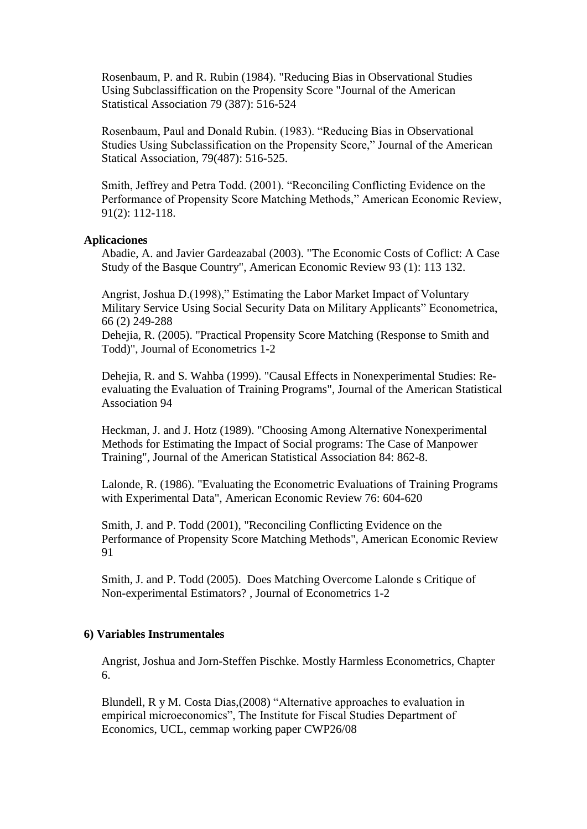Rosenbaum, P. and R. Rubin (1984). "Reducing Bias in Observational Studies Using Subclassiffication on the Propensity Score "Journal of the American Statistical Association 79 (387): 516-524

Rosenbaum, Paul and Donald Rubin. (1983). "Reducing Bias in Observational Studies Using Subclassification on the Propensity Score," Journal of the American Statical Association, 79(487): 516-525.

Smith, Jeffrey and Petra Todd. (2001). "Reconciling Conflicting Evidence on the Performance of Propensity Score Matching Methods," American Economic Review, 91(2): 112-118.

## **Aplicaciones**

Abadie, A. and Javier Gardeazabal (2003). "The Economic Costs of Coflict: A Case Study of the Basque Country", American Economic Review 93 (1): 113 132.

Angrist, Joshua D.(1998)," Estimating the Labor Market Impact of Voluntary Military Service Using Social Security Data on Military Applicants" Econometrica, 66 (2) 249-288

Dehejia, R. (2005). "Practical Propensity Score Matching (Response to Smith and Todd)", Journal of Econometrics 1-2

Dehejia, R. and S. Wahba (1999). "Causal Effects in Nonexperimental Studies: Reevaluating the Evaluation of Training Programs", Journal of the American Statistical Association 94

Heckman, J. and J. Hotz (1989). "Choosing Among Alternative Nonexperimental Methods for Estimating the Impact of Social programs: The Case of Manpower Training", Journal of the American Statistical Association 84: 862-8.

Lalonde, R. (1986). "Evaluating the Econometric Evaluations of Training Programs with Experimental Data", American Economic Review 76: 604-620

Smith, J. and P. Todd (2001), "Reconciling Conflicting Evidence on the Performance of Propensity Score Matching Methods", American Economic Review 91

Smith, J. and P. Todd (2005). Does Matching Overcome Lalonde s Critique of Non-experimental Estimators? , Journal of Econometrics 1-2

## **6) Variables Instrumentales**

Angrist, Joshua and Jorn-Steffen Pischke. Mostly Harmless Econometrics, Chapter 6.

Blundell, R y M. Costa Dias,(2008) "Alternative approaches to evaluation in empirical microeconomics", The Institute for Fiscal Studies Department of Economics, UCL, cemmap working paper CWP26/08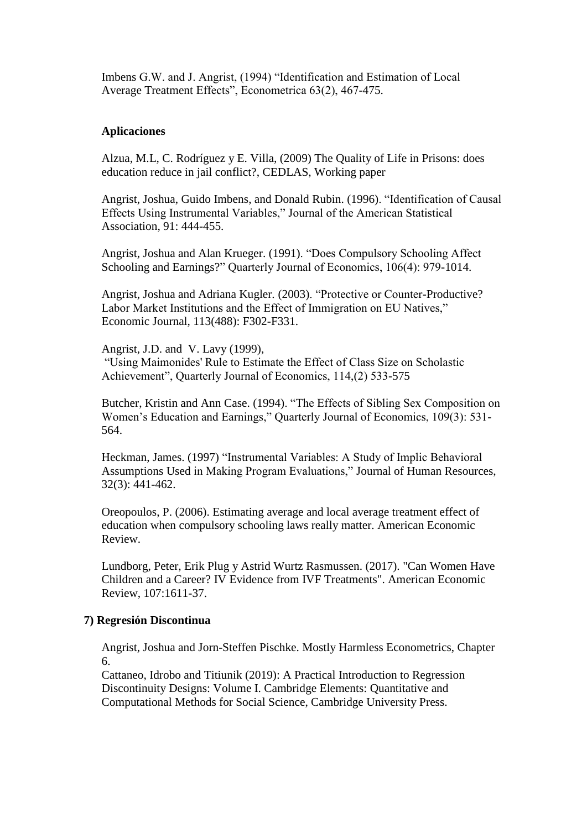Imbens G.W. and J. Angrist, (1994) "Identification and Estimation of Local Average Treatment Effects", Econometrica 63(2), 467-475.

## **Aplicaciones**

Alzua, M.L, C. Rodríguez y E. Villa, (2009) The Quality of Life in Prisons: does education reduce in jail conflict?, CEDLAS, Working paper

Angrist, Joshua, Guido Imbens, and Donald Rubin. (1996). "Identification of Causal Effects Using Instrumental Variables," Journal of the American Statistical Association, 91: 444-455.

Angrist, Joshua and Alan Krueger. (1991). "Does Compulsory Schooling Affect Schooling and Earnings?" Quarterly Journal of Economics, 106(4): 979-1014.

Angrist, Joshua and Adriana Kugler. (2003). "Protective or Counter-Productive? Labor Market Institutions and the Effect of Immigration on EU Natives," Economic Journal, 113(488): F302-F331.

Angrist, J.D. and V. Lavy (1999),

"Using Maimonides' Rule to Estimate the Effect of Class Size on Scholastic Achievement", Quarterly Journal of Economics, 114,(2) 533-575

Butcher, Kristin and Ann Case. (1994). "The Effects of Sibling Sex Composition on Women's Education and Earnings," Quarterly Journal of Economics, 109(3): 531- 564.

Heckman, James. (1997) "Instrumental Variables: A Study of Implic Behavioral Assumptions Used in Making Program Evaluations," Journal of Human Resources, 32(3): 441-462.

Oreopoulos, P. (2006). Estimating average and local average treatment effect of education when compulsory schooling laws really matter. American Economic Review.

Lundborg, Peter, Erik Plug y Astrid Wurtz Rasmussen. (2017). "Can Women Have Children and a Career? IV Evidence from IVF Treatments". American Economic Review, 107:1611-37.

# **7) Regresión Discontinua**

Angrist, Joshua and Jorn-Steffen Pischke. Mostly Harmless Econometrics, Chapter 6.

Cattaneo, Idrobo and Titiunik (2019): A Practical Introduction to Regression Discontinuity Designs: Volume I. Cambridge Elements: Quantitative and Computational Methods for Social Science, Cambridge University Press.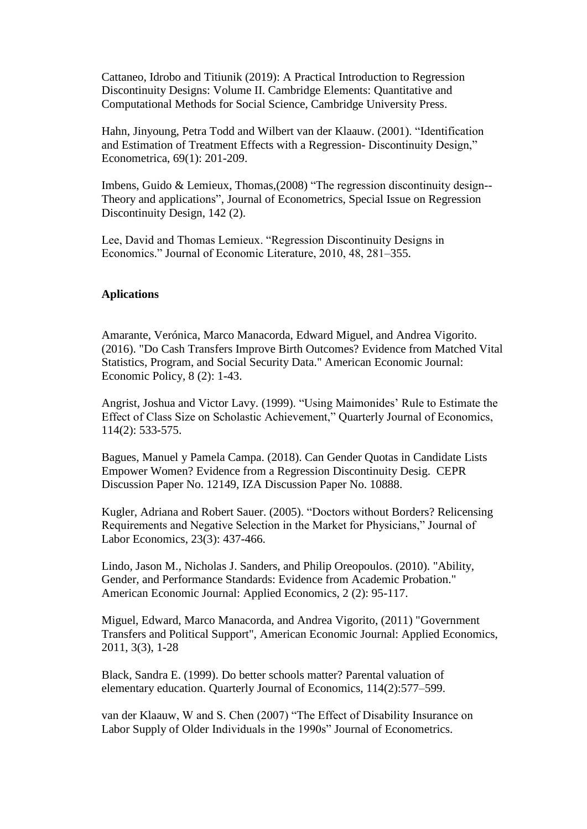Cattaneo, Idrobo and Titiunik (2019): A Practical Introduction to Regression Discontinuity Designs: Volume II. Cambridge Elements: Quantitative and Computational Methods for Social Science, Cambridge University Press.

Hahn, Jinyoung, Petra Todd and Wilbert van der Klaauw. (2001). "Identification and Estimation of Treatment Effects with a Regression- Discontinuity Design," Econometrica, 69(1): 201-209.

Imbens, Guido & Lemieux, Thomas,(2008) "The regression discontinuity design-- Theory and applications", Journal of Econometrics, Special Issue on Regression Discontinuity Design, 142 (2).

Lee, David and Thomas Lemieux. "Regression Discontinuity Designs in Economics." Journal of Economic Literature, 2010, 48, 281–355.

## **Aplications**

Amarante, Verónica, Marco Manacorda, Edward Miguel, and Andrea Vigorito. (2016). "Do Cash Transfers Improve Birth Outcomes? Evidence from Matched Vital Statistics, Program, and Social Security Data." American Economic Journal: Economic Policy, 8 (2): 1-43.

Angrist, Joshua and Victor Lavy. (1999). "Using Maimonides' Rule to Estimate the Effect of Class Size on Scholastic Achievement," Quarterly Journal of Economics, 114(2): 533-575.

Bagues, Manuel y Pamela Campa. (2018). Can Gender Quotas in Candidate Lists Empower Women? Evidence from a Regression Discontinuity Desig. CEPR Discussion Paper No. 12149, IZA Discussion Paper No. 10888.

Kugler, Adriana and Robert Sauer. (2005). "Doctors without Borders? Relicensing Requirements and Negative Selection in the Market for Physicians," Journal of Labor Economics, 23(3): 437-466.

Lindo, Jason M., Nicholas J. Sanders, and Philip Oreopoulos. (2010). "Ability, Gender, and Performance Standards: Evidence from Academic Probation." American Economic Journal: Applied Economics, 2 (2): 95-117.

Miguel, Edward, Marco Manacorda, and Andrea Vigorito, (2011) "Government Transfers and Political Support", American Economic Journal: Applied Economics, 2011, 3(3), 1-28

Black, Sandra E. (1999). Do better schools matter? Parental valuation of elementary education. Quarterly Journal of Economics, 114(2):577–599.

van der Klaauw, W and S. Chen (2007) "The Effect of Disability Insurance on Labor Supply of Older Individuals in the 1990s" Journal of Econometrics.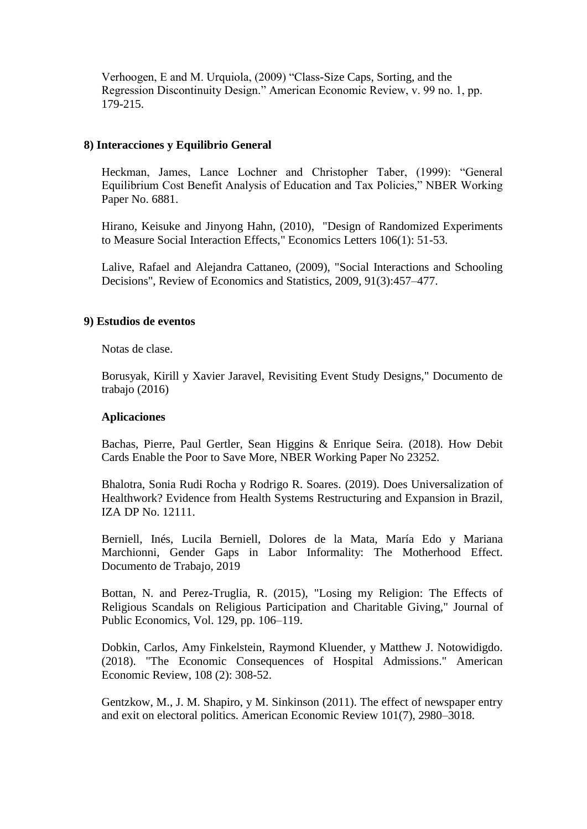Verhoogen, E and M. Urquiola, (2009) "Class-Size Caps, Sorting, and the Regression Discontinuity Design." American Economic Review, v. 99 no. 1, pp. 179-215.

## **8) Interacciones y Equilibrio General**

Heckman, James, Lance Lochner and Christopher Taber, (1999): "General Equilibrium Cost Benefit Analysis of Education and Tax Policies," NBER Working Paper No. 6881.

Hirano, Keisuke and Jinyong Hahn, (2010), "Design of Randomized Experiments to Measure Social Interaction Effects," Economics Letters 106(1): 51-53.

Lalive, Rafael and Alejandra Cattaneo, (2009), "Social Interactions and Schooling Decisions", Review of Economics and Statistics, 2009, 91(3):457–477.

# **9) Estudios de eventos**

Notas de clase.

Borusyak, Kirill y Xavier Jaravel, Revisiting Event Study Designs," Documento de trabajo (2016)

#### **Aplicaciones**

Bachas, Pierre, Paul Gertler, Sean Higgins & Enrique Seira. (2018). How Debit Cards Enable the Poor to Save More, NBER Working Paper No 23252.

Bhalotra, Sonia Rudi Rocha y Rodrigo R. Soares. (2019). Does Universalization of Healthwork? Evidence from Health Systems Restructuring and Expansion in Brazil, IZA DP No. 12111.

Berniell, Inés, Lucila Berniell, Dolores de la Mata, María Edo y Mariana Marchionni, Gender Gaps in Labor Informality: The Motherhood Effect. Documento de Trabajo, 2019

Bottan, N. and Perez-Truglia, R. (2015), "Losing my Religion: The Effects of Religious Scandals on Religious Participation and Charitable Giving," Journal of Public Economics, Vol. 129, pp. 106–119.

Dobkin, Carlos, Amy Finkelstein, Raymond Kluender, y Matthew J. Notowidigdo. (2018). "The Economic Consequences of Hospital Admissions." American Economic Review, 108 (2): 308-52.

Gentzkow, M., J. M. Shapiro, y M. Sinkinson (2011). The effect of newspaper entry and exit on electoral politics. American Economic Review 101(7), 2980–3018.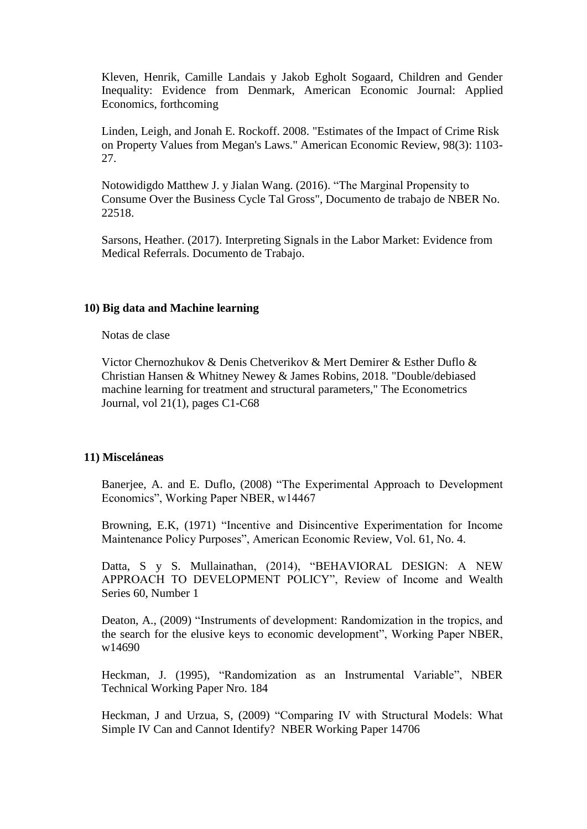Kleven, Henrik, Camille Landais y Jakob Egholt Sogaard, Children and Gender Inequality: Evidence from Denmark, American Economic Journal: Applied Economics, forthcoming

Linden, Leigh, and Jonah E. Rockoff. 2008. "Estimates of the Impact of Crime Risk on Property Values from Megan's Laws." American Economic Review, 98(3): 1103- 27.

Notowidigdo Matthew J. y Jialan Wang. (2016). "The Marginal Propensity to Consume Over the Business Cycle Tal Gross", Documento de trabajo de NBER No. 22518.

Sarsons, Heather. (2017). Interpreting Signals in the Labor Market: Evidence from Medical Referrals. Documento de Trabajo.

## **10) Big data and Machine learning**

Notas de clase

Victor Chernozhukov & Denis Chetverikov & Mert Demirer & Esther Duflo & Christian Hansen & Whitney Newey & James Robins, 2018. "Double/debiased machine learning for treatment and structural parameters," The Econometrics Journal, vol 21(1), pages C1-C68

#### **11) Misceláneas**

Banerjee, A. and E. Duflo, (2008) "The Experimental Approach to Development Economics", Working Paper NBER, w14467

Browning, E.K, (1971) "Incentive and Disincentive Experimentation for Income Maintenance Policy Purposes", American Economic Review, Vol. 61, No. 4.

Datta, S y S. Mullainathan, (2014), "BEHAVIORAL DESIGN: A NEW APPROACH TO DEVELOPMENT POLICY", Review of Income and Wealth Series 60, Number 1

Deaton, A., (2009) "Instruments of development: Randomization in the tropics, and the search for the elusive keys to economic development", Working Paper NBER, w14690

Heckman, J. (1995), "Randomization as an Instrumental Variable", NBER Technical Working Paper Nro. 184

Heckman, J and Urzua, S, (2009) "Comparing IV with Structural Models: What Simple IV Can and Cannot Identify? NBER Working Paper 14706